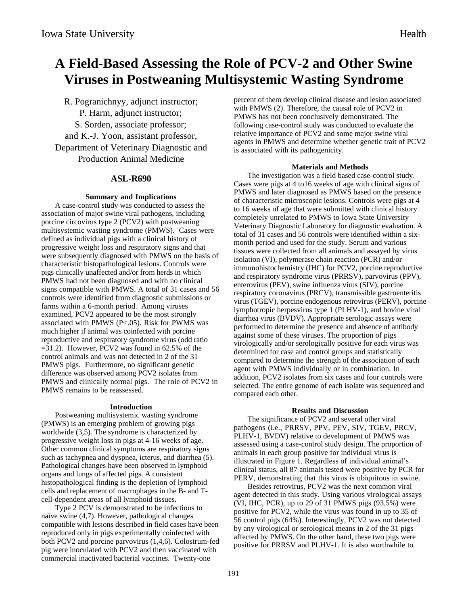# **A Field-Based Assessing the Role of PCV-2 and Other Swine Viruses in Postweaning Multisystemic Wasting Syndrome**

R. Pogranichnyy, adjunct instructor; P. Harm, adjunct instructor; S. Sorden, associate professor; and K.-J. Yoon, assistant professor, Department of Veterinary Diagnostic and Production Animal Medicine

# **ASL-R690**

## **Summary and Implications**

A case-control study was conducted to assess the association of major swine viral pathogens, including porcine circovirus type 2 (PCV2) with postweaning multisystemic wasting syndrome (PMWS). Cases were defined as individual pigs with a clinical history of progressive weight loss and respiratory signs and that were subsequently diagnosed with PMWS on the basis of characteristic histopathological lesions. Controls were pigs clinically unaffected and/or from herds in which PMWS had not been diagnosed and with no clinical signs compatible with PMWS. A total of 31 cases and 56 controls were identified from diagnostic submissions or farms within a 6-month period. Among viruses examined, PCV2 appeared to be the most strongly associated with PMWS (P<.05). Risk for PWMS was much higher if animal was coinfected with porcine reproductive and respiratory syndrome virus (odd ratio  $=31.2$ ). However, PCV2 was found in 62.5% of the control animals and was not detected in 2 of the 31 PMWS pigs. Furthermore, no significant genetic difference was observed among PCV2 isolates from PMWS and clinically normal pigs. The role of PCV2 in PMWS remains to be reassessed.

#### **Introduction**

Postweaning multisystemic wasting syndrome (PMWS) is an emerging problem of growing pigs worldwide (3,5). The syndrome is characterized by progressive weight loss in pigs at 4-16 weeks of age. Other common clinical symptoms are respiratory signs such as tachypnea and dyspnea, icterus, and diarrhea (5). Pathological changes have been observed in lymphoid organs and lungs of affected pigs. A consistent histopathological finding is the depletion of lymphoid cells and replacement of macrophages in the B- and Tcell-dependent areas of all lymphoid tissues.

Type 2 PCV is demonstrated to be infectious to naïve swine (4,7). However, pathological changes compatible with lesions described in field cases have been reproduced only in pigs experimentally coinfected with both PCV2 and porcine parvovirus (1,4,6). Colostrum-fed pig were inoculated with PCV2 and then vaccinated with commercial inactivated bacterial vaccines. Twenty-one

percent of them develop clinical disease and lesion associated with PMWS (2). Therefore, the causal role of PCV2 in PMWS has not been conclusively demonstrated. The following case-control study was conducted to evaluate the relative importance of PCV2 and some major swine viral agents in PMWS and determine whether genetic trait of PCV2 is associated with its pathogenicity.

#### **Materials and Methods**

The investigation was a field based case-control study. Cases were pigs at 4 to16 weeks of age with clinical signs of PMWS and later diagnosed as PMWS based on the presence of characteristic microscopic lesions. Controls were pigs at 4 to 16 weeks of age that were submitted with clinical history completely unrelated to PMWS to Iowa State University Veterinary Diagnostic Laboratory for diagnostic evaluation. A total of 31 cases and 56 controls were identified within a sixmonth period and used for the study. Serum and various tissues were collected from all animals and assayed by virus isolation (VI), polymerase chain reaction (PCR) and/or immunohistochemistry (IHC) for PCV2, porcine reproductive and respiratory syndrome virus (PRRSV), parvovirus (PPV), enterovirus (PEV), swine influenza virus (SIV), porcine respiratory coronavirus (PRCV), transmissible gastroenteritis virus (TGEV), porcine endogenous retrovirus (PERV), porcine lymphotropic herpesvirus type 1 (PLHV-1), and bovine viral diarrhea virus (BVDV). Appropriate serologic assays were performed to determine the presence and absence of antibody against some of these viruses. The proportion of pigs virologically and/or serologically positive for each virus was determined for case and control groups and statistically compared to determine the strength of the association of each agent with PMWS individually or in combination. In addition, PCV2 isolates from six cases and four controls were selected. The entire genome of each isolate was sequenced and compared each other.

#### **Results and Discussion**

The significance of PCV2 and several other viral pathogens (i.e., PRRSV, PPV, PEV, SIV, TGEV, PRCV, PLHV-1, BVDV) relative to development of PMWS was assessed using a case-control study design. The proportion of animals in each group positive for individual virus is illustrated in Figure 1. Regardless of individual animal's clinical status, all 87 animals tested were positive by PCR for PERV, demonstrating that this virus is ubiquitous in swine.

Besides retrovirus, PCV2 was the next common viral agent detected in this study. Using various virological assays (VI, IHC, PCR), up to 29 of 31 PMWS pigs (93.5%) were positive for PCV2, while the virus was found in up to 35 of 56 control pigs (64%). Interestingly, PCV2 was not detected by any virological or serological means in 2 of the 31 pigs affected by PMWS. On the other hand, these two pigs were positive for PRRSV and PLHV-1. It is also worthwhile to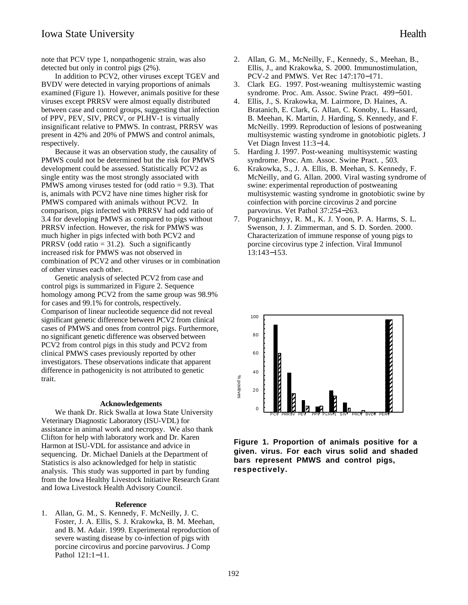note that PCV type 1, nonpathogenic strain, was also detected but only in control pigs (2%).

In addition to PCV2, other viruses except TGEV and BVDV were detected in varying proportions of animals examined (Figure 1). However, animals positive for these viruses except PRRSV were almost equally distributed between case and control groups, suggesting that infection of PPV, PEV, SIV, PRCV, or PLHV-1 is virtually insignificant relative to PMWS. In contrast, PRRSV was present in 42% and 20% of PMWS and control animals, respectively.

Because it was an observation study, the causality of PMWS could not be determined but the risk for PMWS development could be assessed. Statistically PCV2 as single entity was the most strongly associated with PMWS among viruses tested for (odd ratio = 9.3). That is, animals with PCV2 have nine times higher risk for PMWS compared with animals without PCV2. In comparison, pigs infected with PRRSV had odd ratio of 3.4 for developing PMWS as compared to pigs without PRRSV infection. However, the risk for PMWS was much higher in pigs infected with both PCV2 and PRRSV (odd ratio  $= 31.2$ ). Such a significantly increased risk for PMWS was not observed in combination of PCV2 and other viruses or in combination of other viruses each other.

Genetic analysis of selected PCV2 from case and control pigs is summarized in Figure 2. Sequence homology among PCV2 from the same group was 98.9% for cases and 99.1% for controls, respectively. Comparison of linear nucleotide sequence did not reveal significant genetic difference between PCV2 from clinical cases of PMWS and ones from control pigs. Furthermore, no significant genetic difference was observed between PCV2 from control pigs in this study and PCV2 from clinical PMWS cases previously reported by other investigators. These observations indicate that apparent difference in pathogenicity is not attributed to genetic trait.

#### **Acknowledgements**

We thank Dr. Rick Swalla at Iowa State University Veterinary Diagnostic Laboratory (ISU-VDL) for assistance in animal work and necropsy. We also thank Clifton for help with laboratory work and Dr. Karen Harmon at ISU-VDL for assistance and advice in sequencing. Dr. Michael Daniels at the Department of Statistics is also acknowledged for help in statistic analysis. This study was supported in part by funding from the Iowa Healthy Livestock Initiative Research Grant and Iowa Livestock Health Advisory Council.

## **Reference**

1. Allan, G. M., S. Kennedy, F. McNeilly, J. C. Foster, J. A. Ellis, S. J. Krakowka, B. M. Meehan, and B. M. Adair. 1999. Experimental reproduction of severe wasting disease by co-infection of pigs with porcine circovirus and porcine parvovirus. J Comp Pathol 121:1−11.

- 2. Allan, G. M., McNeilly, F., Kennedy, S., Meehan, B., Ellis, J., and Krakowka, S. 2000. Immunostimulation, PCV-2 and PMWS. Vet Rec 147:170−171.
- 3. Clark EG. 1997. Post-weaning multisystemic wasting syndrome. Proc. Am. Assoc. Swine Pract. 499−501.
- 4. Ellis, J., S. Krakowka, M. Lairmore, D. Haines, A. Bratanich, E. Clark, G. Allan, C. Konoby, L. Hassard, B. Meehan, K. Martin, J. Harding, S. Kennedy, and F. McNeilly. 1999. Reproduction of lesions of postweaning multisystemic wasting syndrome in gnotobiotic piglets. J Vet Diagn Invest 11:3−14.
- 5. Harding J. 1997. Post-weaning multisystemic wasting syndrome. Proc. Am. Assoc. Swine Pract. , 503.
- 6. Krakowka, S., J. A. Ellis, B. Meehan, S. Kennedy, F. McNeilly, and G. Allan. 2000. Viral wasting syndrome of swine: experimental reproduction of postweaning multisystemic wasting syndrome in gnotobiotic swine by coinfection with porcine circovirus 2 and porcine parvovirus. Vet Pathol 37:254−263.
- 7. Pogranichnyy, R. M., K. J. Yoon, P. A. Harms, S. L. Swenson, J. J. Zimmerman, and S. D. Sorden. 2000. Characterization of immune response of young pigs to porcine circovirus type 2 infection. Viral Immunol 13:143−153.



**Figure 1. Proportion of animals positive for a given. virus. For each virus solid and shaded bars represent PMWS and control pigs, respectively.**